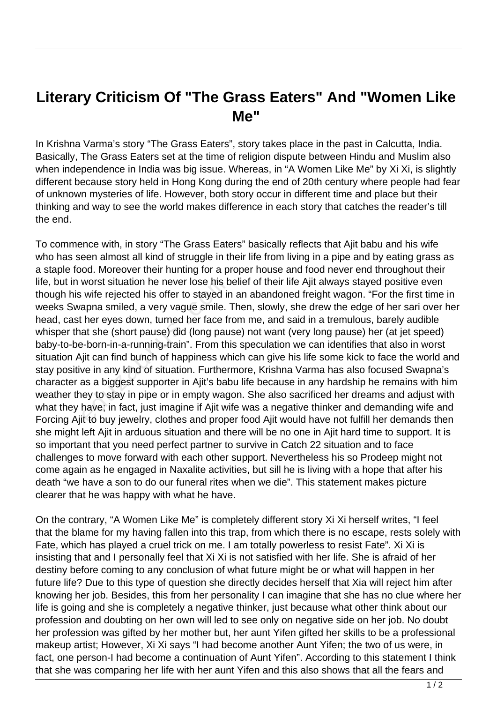## **Literary Criticism Of "The Grass Eaters" And "Women Like Me"**

In Krishna Varma's story "The Grass Eaters", story takes place in the past in Calcutta, India. Basically, The Grass Eaters set at the time of religion dispute between Hindu and Muslim also when independence in India was big issue. Whereas, in "A Women Like Me" by Xi Xi, is slightly different because story held in Hong Kong during the end of 20th century where people had fear of unknown mysteries of life. However, both story occur in different time and place but their thinking and way to see the world makes difference in each story that catches the reader's till the end.

To commence with, in story "The Grass Eaters" basically reflects that Ajit babu and his wife who has seen almost all kind of struggle in their life from living in a pipe and by eating grass as a staple food. Moreover their hunting for a proper house and food never end throughout their life, but in worst situation he never lose his belief of their life Ajit always stayed positive even though his wife rejected his offer to stayed in an abandoned freight wagon. "For the first time in weeks Swapna smiled, a very vague smile. Then, slowly, she drew the edge of her sari over her head, cast her eyes down, turned her face from me, and said in a tremulous, barely audible whisper that she (short pause) did (long pause) not want (very long pause) her (at jet speed) baby-to-be-born-in-a-running-train". From this speculation we can identifies that also in worst situation Ajit can find bunch of happiness which can give his life some kick to face the world and stay positive in any kind of situation. Furthermore, Krishna Varma has also focused Swapna's character as a biggest supporter in Ajit's babu life because in any hardship he remains with him weather they to stay in pipe or in empty wagon. She also sacrificed her dreams and adjust with what they have; in fact, just imagine if Ajit wife was a negative thinker and demanding wife and Forcing Ajit to buy jewelry, clothes and proper food Ajit would have not fulfill her demands then she might left Ajit in arduous situation and there will be no one in Ajit hard time to support. It is so important that you need perfect partner to survive in Catch 22 situation and to face challenges to move forward with each other support. Nevertheless his so Prodeep might not come again as he engaged in Naxalite activities, but sill he is living with a hope that after his death "we have a son to do our funeral rites when we die". This statement makes picture clearer that he was happy with what he have. worst situation he never lose his b<br>wife rejected his offer to stayed in<br>apna smiled, a very vague smile.<br>her eyes down, turned her face fr<br>at she (short pause) did (long pau<br>--born-in-a-running-train". From thi<br>jit can fi

On the contrary, "A Women Like Me" is completely different story Xi Xi herself writes, "I feel that the blame for my having fallen into this trap, from which there is no escape, rests solely with Fate, which has played a cruel trick on me. I am totally powerless to resist Fate". Xi Xi is insisting that and I personally feel that Xi Xi is not satisfied with her life. She is afraid of her destiny before coming to any conclusion of what future might be or what will happen in her future life? Due to this type of question she directly decides herself that Xia will reject him after knowing her job. Besides, this from her personality I can imagine that she has no clue where her life is going and she is completely a negative thinker, just because what other think about our profession and doubting on her own will led to see only on negative side on her job. No doubt her profession was gifted by her mother but, her aunt Yifen gifted her skills to be a professional makeup artist; However, Xi Xi says "I had become another Aunt Yifen; the two of us were, in fact, one person-I had become a continuation of Aunt Yifen". According to this statement I think that she was comparing her life with her aunt Yifen and this also shows that all the fears and